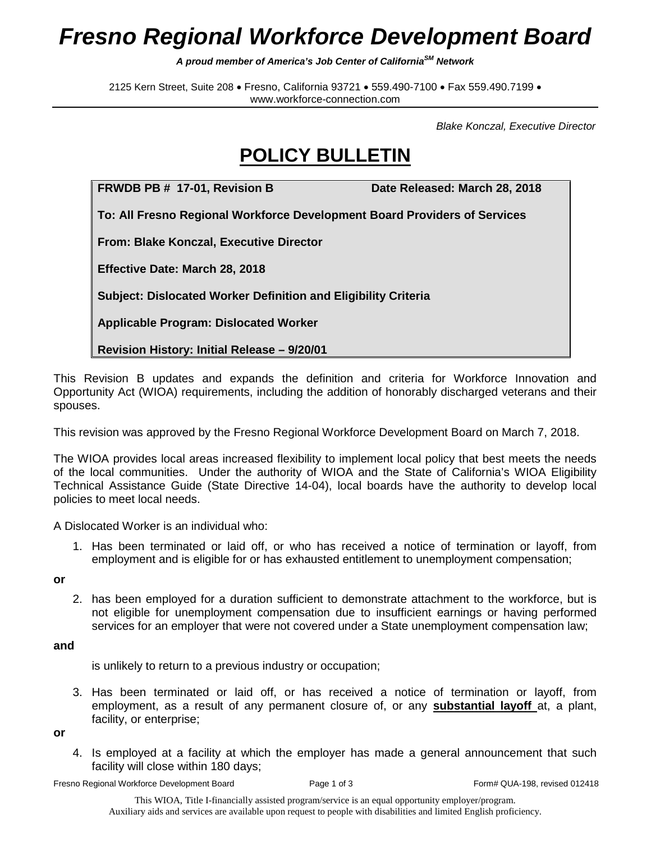## *Fresno Regional Workforce Development Board*

*A proud member of America's Job Center of CaliforniaSM Network*

2125 Kern Street, Suite 208 · Fresno, California 93721 · 559.490-7100 · Fax 559.490.7199 · www.workforce-connection.com

*Blake Konczal, Executive Director*

## **POLICY BULLETIN**

**FRWDB PB # 17-01, Revision B Date Released: March 28, 2018**

**To: All Fresno Regional Workforce Development Board Providers of Services**

**From: Blake Konczal, Executive Director**

**Effective Date: March 28, 2018**

**Subject: Dislocated Worker Definition and Eligibility Criteria**

**Applicable Program: Dislocated Worker**

**Revision History: Initial Release – 9/20/01**

This Revision B updates and expands the definition and criteria for Workforce Innovation and Opportunity Act (WIOA) requirements, including the addition of honorably discharged veterans and their spouses.

This revision was approved by the Fresno Regional Workforce Development Board on March 7, 2018.

The WIOA provides local areas increased flexibility to implement local policy that best meets the needs of the local communities. Under the authority of WIOA and the State of California's WIOA Eligibility Technical Assistance Guide (State Directive 14-04), local boards have the authority to develop local policies to meet local needs.

A Dislocated Worker is an individual who:

1. Has been terminated or laid off, or who has received a notice of termination or layoff, from employment and is eligible for or has exhausted entitlement to unemployment compensation;

**or**

2. has been employed for a duration sufficient to demonstrate attachment to the workforce, but is not eligible for unemployment compensation due to insufficient earnings or having performed services for an employer that were not covered under a State unemployment compensation law;

## **and**

is unlikely to return to a previous industry or occupation;

3. Has been terminated or laid off, or has received a notice of termination or layoff, from employment, as a result of any permanent closure of, or any **substantial layoff** at, a plant, facility, or enterprise;

**or**

4. Is employed at a facility at which the employer has made a general announcement that such facility will close within 180 days;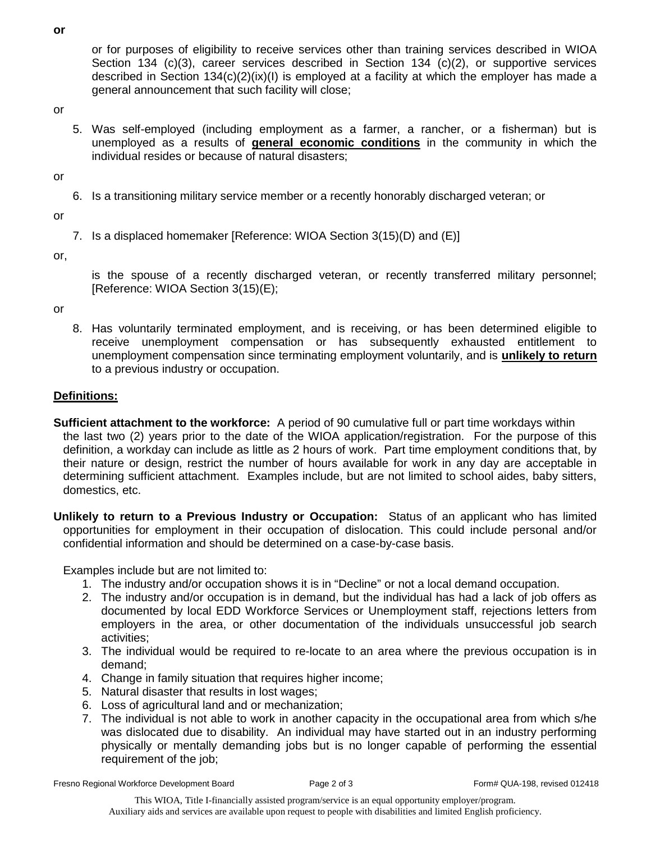or for purposes of eligibility to receive services other than training services described in WIOA Section 134 (c)(3), career services described in Section 134 (c)(2), or supportive services described in Section  $134(c)(2)(ix)(l)$  is employed at a facility at which the employer has made a general announcement that such facility will close;

or

5. Was self-employed (including employment as a farmer, a rancher, or a fisherman) but is unemployed as a results of **general economic conditions** in the community in which the individual resides or because of natural disasters;

or

6. Is a transitioning military service member or a recently honorably discharged veteran; or

or

7. Is a displaced homemaker [Reference: WIOA Section 3(15)(D) and (E)]

or,

is the spouse of a recently discharged veteran, or recently transferred military personnel; [Reference: WIOA Section 3(15)(E);

or

8. Has voluntarily terminated employment, and is receiving, or has been determined eligible to receive unemployment compensation or has subsequently exhausted entitlement to unemployment compensation since terminating employment voluntarily, and is **unlikely to return** to a previous industry or occupation.

## **Definitions:**

- **Sufficient attachment to the workforce:** A period of 90 cumulative full or part time workdays within the last two (2) years prior to the date of the WIOA application/registration. For the purpose of this definition, a workday can include as little as 2 hours of work. Part time employment conditions that, by their nature or design, restrict the number of hours available for work in any day are acceptable in determining sufficient attachment. Examples include, but are not limited to school aides, baby sitters, domestics, etc.
- **Unlikely to return to a Previous Industry or Occupation:** Status of an applicant who has limited opportunities for employment in their occupation of dislocation. This could include personal and/or confidential information and should be determined on a case-by-case basis.

Examples include but are not limited to:

- 1. The industry and/or occupation shows it is in "Decline" or not a local demand occupation.
- 2. The industry and/or occupation is in demand, but the individual has had a lack of job offers as documented by local EDD Workforce Services or Unemployment staff, rejections letters from employers in the area, or other documentation of the individuals unsuccessful job search activities;
- 3. The individual would be required to re-locate to an area where the previous occupation is in demand;
- 4. Change in family situation that requires higher income;
- 5. Natural disaster that results in lost wages;
- 6. Loss of agricultural land and or mechanization;
- 7. The individual is not able to work in another capacity in the occupational area from which s/he was dislocated due to disability. An individual may have started out in an industry performing physically or mentally demanding jobs but is no longer capable of performing the essential requirement of the job;